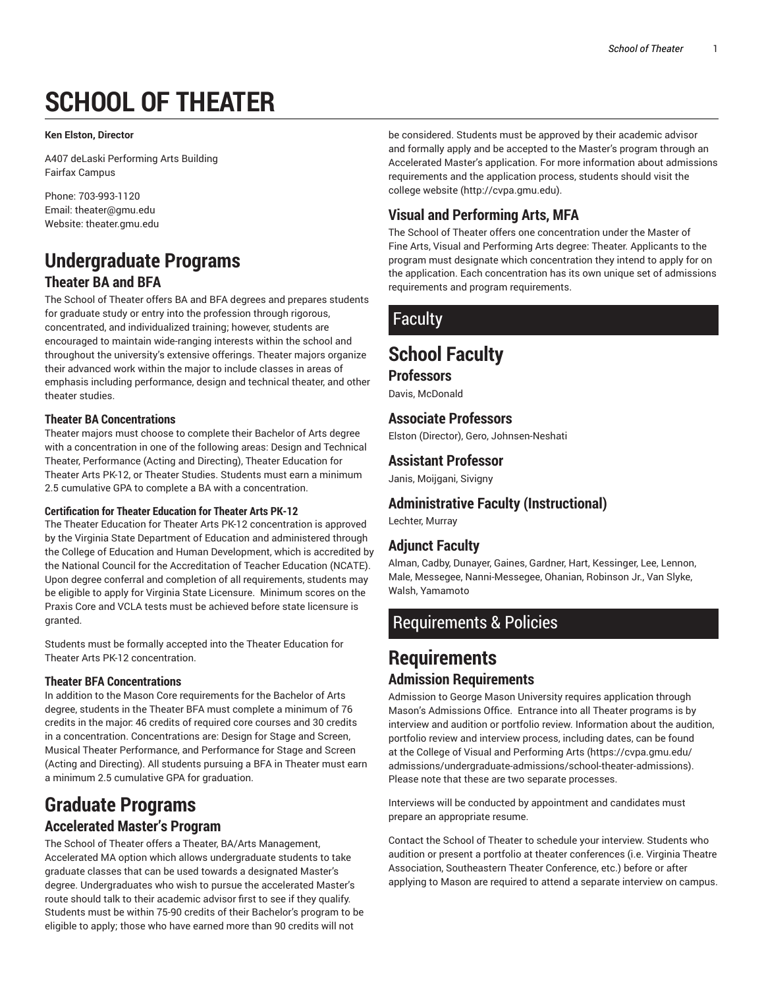# **SCHOOL OF THEATER**

#### **Ken Elston, Director**

A407 deLaski Performing Arts Building Fairfax Campus

Phone: 703-993-1120 Email: theater@gmu.edu Website: theater.gmu.edu

# **Undergraduate Programs Theater BA and BFA**

The School of Theater offers BA and BFA degrees and prepares students for graduate study or entry into the profession through rigorous, concentrated, and individualized training; however, students are encouraged to maintain wide-ranging interests within the school and throughout the university's extensive offerings. Theater majors organize their advanced work within the major to include classes in areas of emphasis including performance, design and technical theater, and other theater studies.

#### **Theater BA Concentrations**

Theater majors must choose to complete their Bachelor of Arts degree with a concentration in one of the following areas: Design and Technical Theater, Performance (Acting and Directing), Theater Education for Theater Arts PK-12, or Theater Studies. Students must earn a minimum 2.5 cumulative GPA to complete a BA with a concentration.

#### **Certification for Theater Education for Theater Arts PK-12**

The Theater Education for Theater Arts PK-12 concentration is approved by the Virginia State Department of Education and administered through the College of Education and Human Development, which is accredited by the National Council for the Accreditation of Teacher Education (NCATE). Upon degree conferral and completion of all requirements, students may be eligible to apply for Virginia State Licensure. Minimum scores on the Praxis Core and VCLA tests must be achieved before state licensure is granted.

Students must be formally accepted into the Theater Education for Theater Arts PK-12 concentration.

#### **Theater BFA Concentrations**

In addition to the Mason Core requirements for the Bachelor of Arts degree, students in the Theater BFA must complete a minimum of 76 credits in the major: 46 credits of required core courses and 30 credits in a concentration. Concentrations are: Design for Stage and Screen, Musical Theater Performance, and Performance for Stage and Screen (Acting and Directing). All students pursuing a BFA in Theater must earn a minimum 2.5 cumulative GPA for graduation.

# **Graduate Programs**

#### **Accelerated Master's Program**

The School of Theater offers a Theater, BA/Arts Management, Accelerated MA option which allows undergraduate students to take graduate classes that can be used towards a designated Master's degree. Undergraduates who wish to pursue the accelerated Master's route should talk to their academic advisor first to see if they qualify. Students must be within 75-90 credits of their Bachelor's program to be eligible to apply; those who have earned more than 90 credits will not

be considered. Students must be approved by their academic advisor and formally apply and be accepted to the Master's program through an Accelerated Master's application. For more information about admissions requirements and the application process, students should visit the college website (http://cvpa.gmu.edu).

### **Visual and Performing Arts, MFA**

The School of Theater offers one concentration under the Master of Fine Arts, Visual and Performing Arts degree: Theater. Applicants to the program must designate which concentration they intend to apply for on the application. Each concentration has its own unique set of admissions requirements and program requirements.

# Faculty

# **School Faculty**

#### **Professors**

Davis, McDonald

### **Associate Professors**

Elston (Director), Gero, Johnsen-Neshati

### **Assistant Professor**

Janis, Moijgani, Sivigny

### **Administrative Faculty (Instructional)**

Lechter, Murray

### **Adjunct Faculty**

Alman, Cadby, Dunayer, Gaines, Gardner, Hart, Kessinger, Lee, Lennon, Male, Messegee, Nanni-Messegee, Ohanian, Robinson Jr., Van Slyke, Walsh, Yamamoto

## Requirements & Policies

# **Requirements Admission Requirements**

Admission to George Mason University requires application through Mason's Admissions Office. Entrance into all Theater programs is by interview and audition or portfolio review. Information about the audition, portfolio review and interview process, including dates, can be found at the College of Visual and Performing Arts (https://cvpa.gmu.edu/ admissions/undergraduate-admissions/school-theater-admissions). Please note that these are two separate processes.

Interviews will be conducted by appointment and candidates must prepare an appropriate resume.

Contact the School of Theater to schedule your interview. Students who audition or present a portfolio at theater conferences (i.e. Virginia Theatre Association, Southeastern Theater Conference, etc.) before or after applying to Mason are required to attend a separate interview on campus.